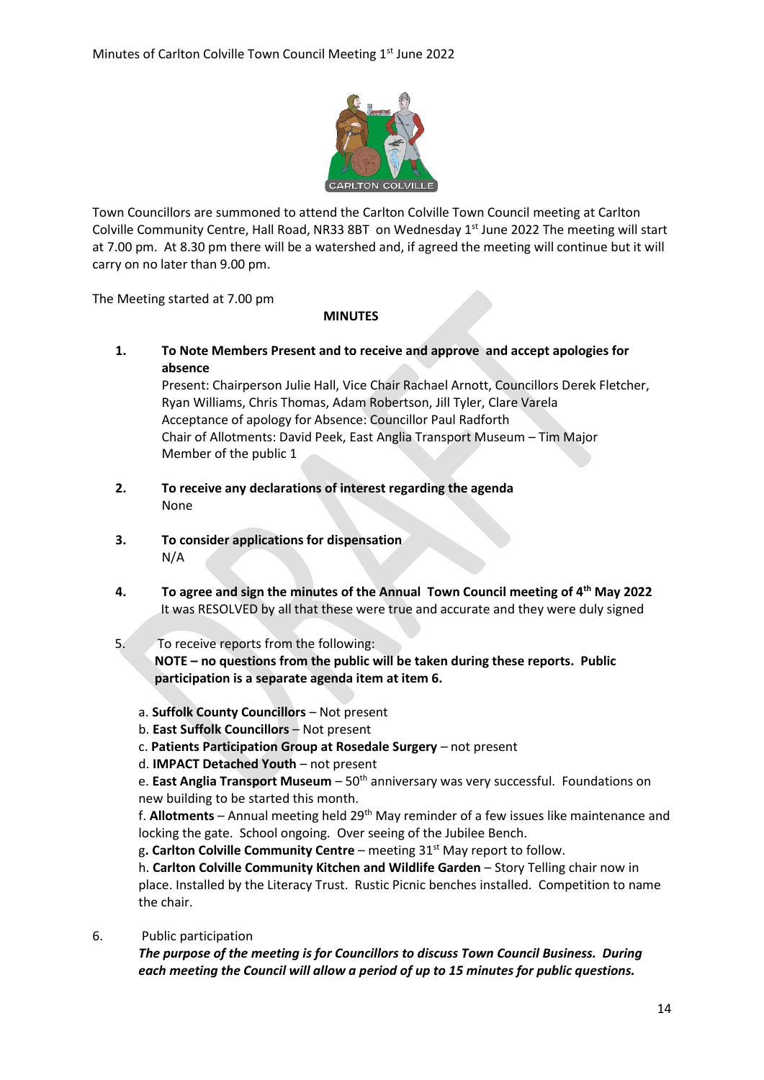

Town Councillors are summoned to attend the Carlton Colville Town Council meeting at Carlton Colville Community Centre, Hall Road, NR33 8BT on Wednesday 1<sup>st</sup> June 2022 The meeting will start at 7.00 pm. At 8.30 pm there will be a watershed and, if agreed the meeting will continue but it will carry on no later than 9.00 pm.

The Meeting started at 7.00 pm

## **MINUTES**

**1. To Note Members Present and to receive and approve and accept apologies for absence** Present: Chairperson Julie Hall, Vice Chair Rachael Arnott, Councillors Derek Fletcher, Ryan Williams, Chris Thomas, Adam Robertson, Jill Tyler, Clare Varela Acceptance of apology for Absence: Councillor Paul Radforth

Chair of Allotments: David Peek, East Anglia Transport Museum – Tim Major Member of the public 1

- **2. To receive any declarations of interest regarding the agenda** None
- **3. To consider applications for dispensation** N/A
- **4. To agree and sign the minutes of the Annual Town Council meeting of 4 th May 2022** It was RESOLVED by all that these were true and accurate and they were duly signed
- 5. To receive reports from the following: **NOTE – no questions from the public will be taken during these reports. Public participation is a separate agenda item at item 6.**
	- a. **Suffolk County Councillors** Not present
	- b. **East Suffolk Councillors** Not present
	- c. **Patients Participation Group at Rosedale Surgery** not present
	- d. **IMPACT Detached Youth** not present

e. **East Anglia Transport Museum** – 50th anniversary was very successful. Foundations on new building to be started this month.

f. **Allotments** – Annual meeting held 29th May reminder of a few issues like maintenance and locking the gate. School ongoing. Over seeing of the Jubilee Bench.

g**. Carlton Colville Community Centre** – meeting 31st May report to follow.

h. **Carlton Colville Community Kitchen and Wildlife Garden** – Story Telling chair now in place. Installed by the Literacy Trust. Rustic Picnic benches installed. Competition to name the chair.

6. Public participation

*The purpose of the meeting is for Councillors to discuss Town Council Business. During each meeting the Council will allow a period of up to 15 minutes for public questions.*